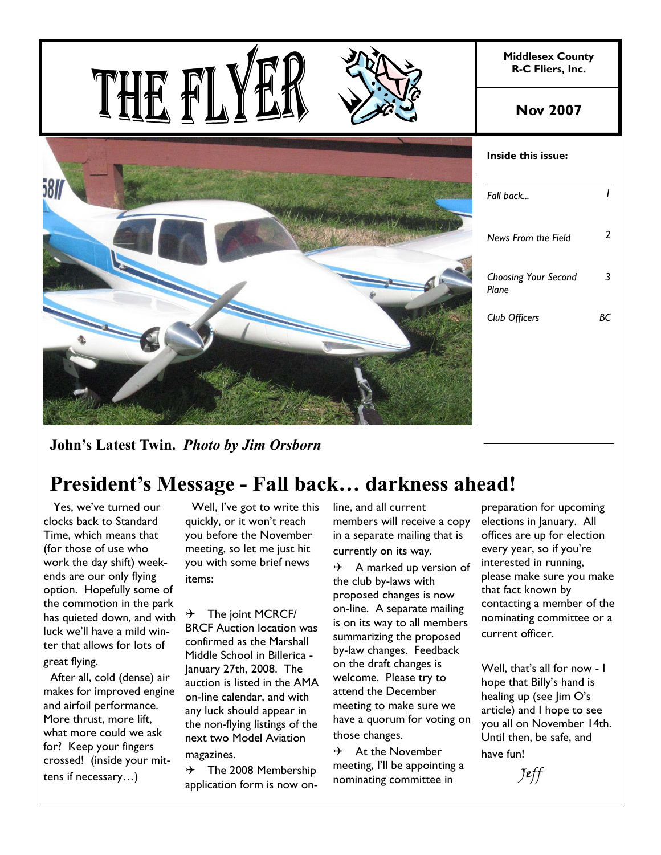

**John's Latest Twin.** *Photo by Jim Orsborn*

# **President's Message - Fall back… darkness ahead!**

 Yes, we've turned our clocks back to Standard Time, which means that (for those of use who work the day shift) weekends are our only flying option. Hopefully some of the commotion in the park has quieted down, and with luck we'll have a mild winter that allows for lots of great flying.

 After all, cold (dense) air makes for improved engine and airfoil performance. More thrust, more lift, what more could we ask for? Keep your fingers crossed! (inside your mittens if necessary…)

 Well, I've got to write this quickly, or it won't reach you before the November meeting, so let me just hit you with some brief news items:

 $\rightarrow$  The joint MCRCF/ BRCF Auction location was confirmed as the Marshall Middle School in Billerica - January 27th, 2008. The auction is listed in the AMA on-line calendar, and with any luck should appear in the non-flying listings of the next two Model Aviation magazines.

 $\rightarrow$  The 2008 Membership application form is now online, and all current members will receive a copy in a separate mailing that is currently on its way.

 $\rightarrow$  A marked up version of the club by-laws with proposed changes is now on-line. A separate mailing is on its way to all members summarizing the proposed by-law changes. Feedback on the draft changes is welcome. Please try to attend the December meeting to make sure we have a quorum for voting on those changes.

 $\rightarrow$  At the November meeting, I'll be appointing a nominating committee in

preparation for upcoming elections in January. All offices are up for election every year, so if you're interested in running, please make sure you make that fact known by contacting a member of the nominating committee or a current officer.

Well, that's all for now - I hope that Billy's hand is healing up (see Jim O's article) and I hope to see you all on November 14th. Until then, be safe, and have fun!

Jeff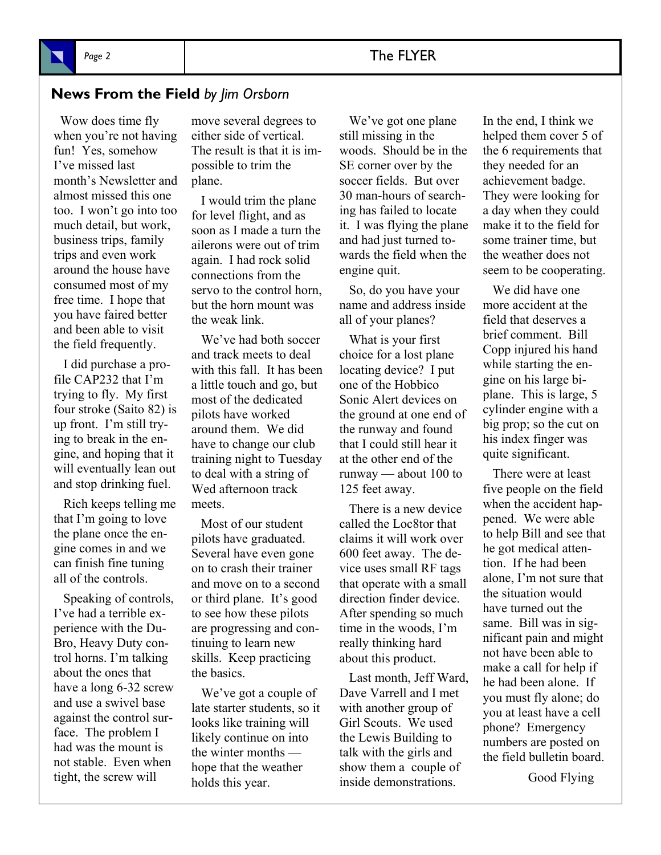## **News From the Field** *by Jim Orsborn*

 Wow does time fly when you're not having fun! Yes, somehow I've missed last month's Newsletter and almost missed this one too. I won't go into too much detail, but work, business trips, family trips and even work around the house have consumed most of my free time. I hope that you have faired better and been able to visit the field frequently.

 I did purchase a profile CAP232 that I'm trying to fly. My first four stroke (Saito 82) is up front. I'm still trying to break in the engine, and hoping that it will eventually lean out and stop drinking fuel.

 Rich keeps telling me that I'm going to love the plane once the engine comes in and we can finish fine tuning all of the controls.

 Speaking of controls, I've had a terrible experience with the Du-Bro, Heavy Duty control horns. I'm talking about the ones that have a long 6-32 screw and use a swivel base against the control surface. The problem I had was the mount is not stable. Even when tight, the screw will

move several degrees to either side of vertical. The result is that it is impossible to trim the plane.

 I would trim the plane for level flight, and as soon as I made a turn the ailerons were out of trim again. I had rock solid connections from the servo to the control horn, but the horn mount was the weak link.

 We've had both soccer and track meets to deal with this fall. It has been a little touch and go, but most of the dedicated pilots have worked around them. We did have to change our club training night to Tuesday to deal with a string of Wed afternoon track meets.

 Most of our student pilots have graduated. Several have even gone on to crash their trainer and move on to a second or third plane. It's good to see how these pilots are progressing and continuing to learn new skills. Keep practicing the basics.

 We've got a couple of late starter students, so it looks like training will likely continue on into the winter months hope that the weather holds this year.

 We've got one plane still missing in the woods. Should be in the SE corner over by the soccer fields. But over 30 man-hours of searching has failed to locate it. I was flying the plane and had just turned towards the field when the engine quit.

 So, do you have your name and address inside all of your planes?

 What is your first choice for a lost plane locating device? I put one of the Hobbico Sonic Alert devices on the ground at one end of the runway and found that I could still hear it at the other end of the runway — about 100 to 125 feet away.

 There is a new device called the Loc8tor that claims it will work over 600 feet away. The device uses small RF tags that operate with a small direction finder device. After spending so much time in the woods, I'm really thinking hard about this product.

 Last month, Jeff Ward, Dave Varrell and I met with another group of Girl Scouts. We used the Lewis Building to talk with the girls and show them a couple of inside demonstrations.

In the end, I think we helped them cover 5 of the 6 requirements that they needed for an achievement badge. They were looking for a day when they could make it to the field for some trainer time, but the weather does not seem to be cooperating.

 We did have one more accident at the field that deserves a brief comment. Bill Copp injured his hand while starting the engine on his large biplane. This is large, 5 cylinder engine with a big prop; so the cut on his index finger was quite significant.

 There were at least five people on the field when the accident happened. We were able to help Bill and see that he got medical attention. If he had been alone, I'm not sure that the situation would have turned out the same. Bill was in significant pain and might not have been able to make a call for help if he had been alone. If you must fly alone; do you at least have a cell phone? Emergency numbers are posted on the field bulletin board.

Good Flying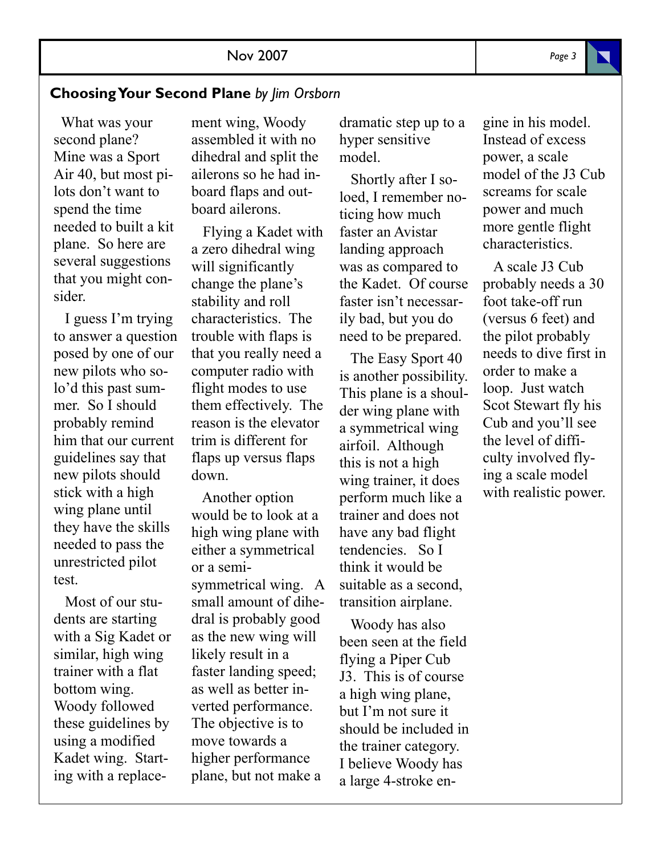### **Choosing Your Second Plane** *by Jim Orsborn*

 What was your second plane? Mine was a Sport Air 40, but most pilots don't want to spend the time needed to built a kit plane. So here are several suggestions that you might consider.

 I guess I'm trying to answer a question posed by one of our new pilots who solo'd this past summer. So I should probably remind him that our current guidelines say that new pilots should stick with a high wing plane until they have the skills needed to pass the unrestricted pilot test.

 Most of our students are starting with a Sig Kadet or similar, high wing trainer with a flat bottom wing. Woody followed these guidelines by using a modified Kadet wing. Starting with a replacement wing, Woody assembled it with no dihedral and split the ailerons so he had inboard flaps and outboard ailerons.

 Flying a Kadet with a zero dihedral wing will significantly change the plane's stability and roll characteristics. The trouble with flaps is that you really need a computer radio with flight modes to use them effectively. The reason is the elevator trim is different for flaps up versus flaps down.

 Another option would be to look at a high wing plane with either a symmetrical or a semisymmetrical wing. A small amount of dihedral is probably good as the new wing will likely result in a faster landing speed; as well as better inverted performance. The objective is to move towards a higher performance plane, but not make a

dramatic step up to a hyper sensitive model.

 Shortly after I soloed, I remember noticing how much faster an Avistar landing approach was as compared to the Kadet. Of course faster isn't necessarily bad, but you do need to be prepared.

 The Easy Sport 40 is another possibility. This plane is a shoulder wing plane with a symmetrical wing airfoil. Although this is not a high wing trainer, it does perform much like a trainer and does not have any bad flight tendencies. So I think it would be suitable as a second, transition airplane.

 Woody has also been seen at the field flying a Piper Cub J3. This is of course a high wing plane, but I'm not sure it should be included in the trainer category. I believe Woody has a large 4-stroke engine in his model. Instead of excess power, a scale model of the J3 Cub screams for scale power and much more gentle flight characteristics.

 A scale J3 Cub probably needs a 30 foot take-off run (versus 6 feet) and the pilot probably needs to dive first in order to make a loop. Just watch Scot Stewart fly his Cub and you'll see the level of difficulty involved flying a scale model with realistic power.